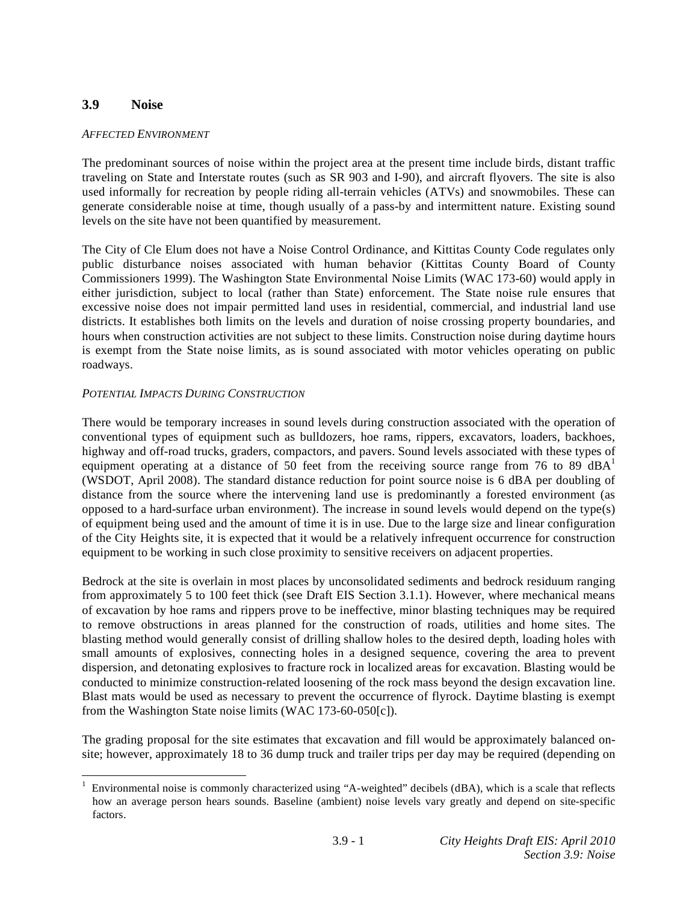# **3.9 Noise**

### *AFFECTED ENVIRONMENT*

The predominant sources of noise within the project area at the present time include birds, distant traffic traveling on State and Interstate routes (such as SR 903 and I-90), and aircraft flyovers. The site is also used informally for recreation by people riding all-terrain vehicles (ATVs) and snowmobiles. These can generate considerable noise at time, though usually of a pass-by and intermittent nature. Existing sound levels on the site have not been quantified by measurement.

The City of Cle Elum does not have a Noise Control Ordinance, and Kittitas County Code regulates only public disturbance noises associated with human behavior (Kittitas County Board of County Commissioners 1999). The Washington State Environmental Noise Limits (WAC 173-60) would apply in either jurisdiction, subject to local (rather than State) enforcement. The State noise rule ensures that excessive noise does not impair permitted land uses in residential, commercial, and industrial land use districts. It establishes both limits on the levels and duration of noise crossing property boundaries, and hours when construction activities are not subject to these limits. Construction noise during daytime hours is exempt from the State noise limits, as is sound associated with motor vehicles operating on public roadways.

## *POTENTIAL IMPACTS DURING CONSTRUCTION*

There would be temporary increases in sound levels during construction associated with the operation of conventional types of equipment such as bulldozers, hoe rams, rippers, excavators, loaders, backhoes, highway and off-road trucks, graders, compactors, and pavers. Sound levels associated with these types of equipment operating at a distance of 50 feet from the receiving source range from 76 to 89 dB $A<sup>1</sup>$ (WSDOT, April 2008). The standard distance reduction for point source noise is 6 dBA per doubling of distance from the source where the intervening land use is predominantly a forested environment (as opposed to a hard-surface urban environment). The increase in sound levels would depend on the type(s) of equipment being used and the amount of time it is in use. Due to the large size and linear configuration of the City Heights site, it is expected that it would be a relatively infrequent occurrence for construction equipment to be working in such close proximity to sensitive receivers on adjacent properties.

Bedrock at the site is overlain in most places by unconsolidated sediments and bedrock residuum ranging from approximately 5 to 100 feet thick (see Draft EIS Section 3.1.1). However, where mechanical means of excavation by hoe rams and rippers prove to be ineffective, minor blasting techniques may be required to remove obstructions in areas planned for the construction of roads, utilities and home sites. The blasting method would generally consist of drilling shallow holes to the desired depth, loading holes with small amounts of explosives, connecting holes in a designed sequence, covering the area to prevent dispersion, and detonating explosives to fracture rock in localized areas for excavation. Blasting would be conducted to minimize construction-related loosening of the rock mass beyond the design excavation line. Blast mats would be used as necessary to prevent the occurrence of flyrock. Daytime blasting is exempt from the Washington State noise limits (WAC 173-60-050[c]).

The grading proposal for the site estimates that excavation and fill would be approximately balanced onsite; however, approximately 18 to 36 dump truck and trailer trips per day may be required (depending on

 $\overline{a}$ 1 Environmental noise is commonly characterized using "A-weighted" decibels (dBA), which is a scale that reflects how an average person hears sounds. Baseline (ambient) noise levels vary greatly and depend on site-specific factors.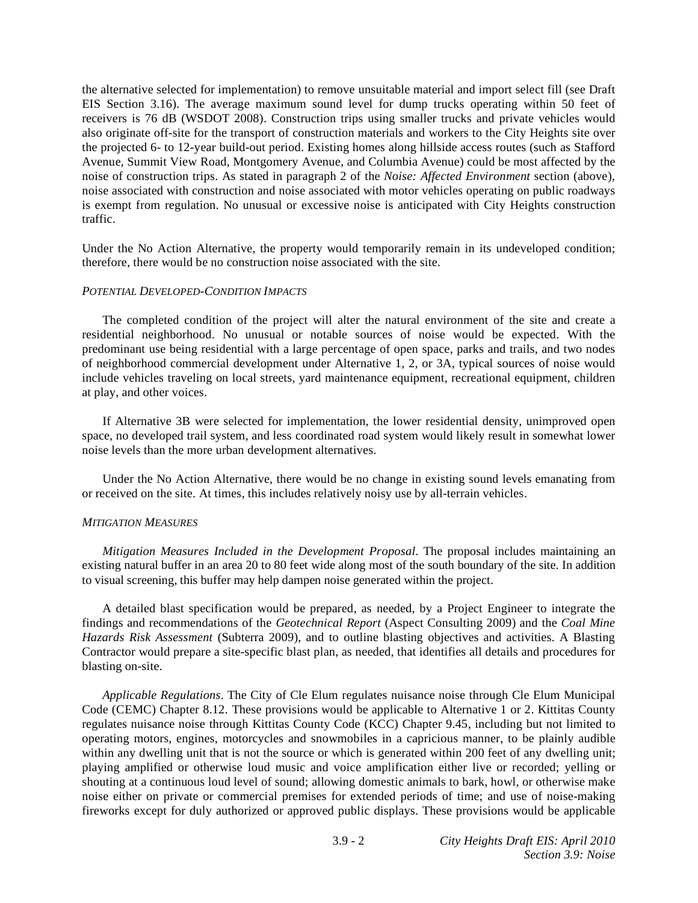the alternative selected for implementation) to remove unsuitable material and import select fill (see Draft EIS Section 3.16). The average maximum sound level for dump trucks operating within 50 feet of receivers is 76 dB (WSDOT 2008). Construction trips using smaller trucks and private vehicles would also originate off-site for the transport of construction materials and workers to the City Heights site over the projected 6- to 12-year build-out period. Existing homes along hillside access routes (such as Stafford Avenue, Summit View Road, Montgomery Avenue, and Columbia Avenue) could be most affected by the noise of construction trips. As stated in paragraph 2 of the *Noise: Affected Environment* section (above), noise associated with construction and noise associated with motor vehicles operating on public roadways is exempt from regulation. No unusual or excessive noise is anticipated with City Heights construction traffic.

Under the No Action Alternative, the property would temporarily remain in its undeveloped condition; therefore, there would be no construction noise associated with the site.

#### *POTENTIAL DEVELOPED-CONDITION IMPACTS*

 The completed condition of the project will alter the natural environment of the site and create a residential neighborhood. No unusual or notable sources of noise would be expected. With the predominant use being residential with a large percentage of open space, parks and trails, and two nodes of neighborhood commercial development under Alternative 1, 2, or 3A, typical sources of noise would include vehicles traveling on local streets, yard maintenance equipment, recreational equipment, children at play, and other voices.

 If Alternative 3B were selected for implementation, the lower residential density, unimproved open space, no developed trail system, and less coordinated road system would likely result in somewhat lower noise levels than the more urban development alternatives.

 Under the No Action Alternative, there would be no change in existing sound levels emanating from or received on the site. At times, this includes relatively noisy use by all-terrain vehicles.

#### *MITIGATION MEASURES*

*Mitigation Measures Included in the Development Proposal*. The proposal includes maintaining an existing natural buffer in an area 20 to 80 feet wide along most of the south boundary of the site. In addition to visual screening, this buffer may help dampen noise generated within the project.

 A detailed blast specification would be prepared, as needed, by a Project Engineer to integrate the findings and recommendations of the *Geotechnical Report* (Aspect Consulting 2009) and the *Coal Mine Hazards Risk Assessment* (Subterra 2009), and to outline blasting objectives and activities. A Blasting Contractor would prepare a site-specific blast plan, as needed, that identifies all details and procedures for blasting on-site.

*Applicable Regulations*. The City of Cle Elum regulates nuisance noise through Cle Elum Municipal Code (CEMC) Chapter 8.12. These provisions would be applicable to Alternative 1 or 2. Kittitas County regulates nuisance noise through Kittitas County Code (KCC) Chapter 9.45, including but not limited to operating motors, engines, motorcycles and snowmobiles in a capricious manner, to be plainly audible within any dwelling unit that is not the source or which is generated within 200 feet of any dwelling unit; playing amplified or otherwise loud music and voice amplification either live or recorded; yelling or shouting at a continuous loud level of sound; allowing domestic animals to bark, howl, or otherwise make noise either on private or commercial premises for extended periods of time; and use of noise-making fireworks except for duly authorized or approved public displays. These provisions would be applicable